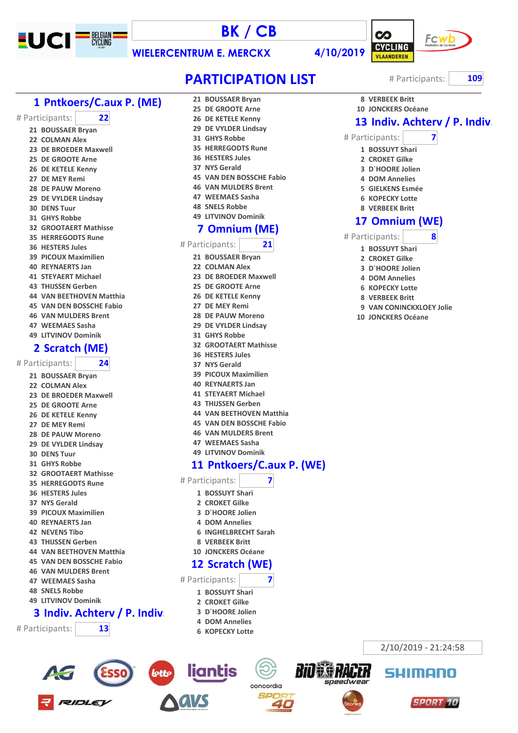

# **BK / CB**



 **VERBEEK Britt JONCKERS Océane**

# Participants: **7 BOSSUYT Shari CROKET Gilke D`HOORE Jolien DOM Annelies GIELKENS Esmée KOPECKY Lotte VERBEEK Britt**

 **Omnium (WE)** # Participants: **8 BOSSUYT Shari CROKET Gilke D`HOORE Jolien DOM Annelies KOPECKY Lotte VERBEEK Britt**

> **VAN CONINCKXLOEY Jolie JONCKERS Océane**

> > 2/10/2019 - 21:24:58

SUIMONN

**SPORT 10** 

speedweal

**WIELERCENTRUM E. MERCKX 4/10/2019**

**PARTICIPATION LIST** # Participants: 109

**13 Indiv. Achterv / P. Indiv.** 

### **Pntkoers/C.aux P. (ME)**

# Participants: **22**

- **BOUSSAER Bryan**
- **COLMAN Alex**
- **DE BROEDER Maxwell**
- **DE GROOTE Arne**
- **DE KETELE Kenny**
- **DE MEY Remi**
- **DE PAUW Moreno**
- **DE VYLDER Lindsay**
- **DENS Tuur**
- **GHYS Robbe**
- **GROOTAERT Mathisse**
- **HERREGODTS Rune**
- **HESTERS Jules**
- **PICOUX Maximilien**
- **REYNAERTS Jan**
- **STEYAERT Michael**
- **THIJSSEN Gerben**
- **VAN BEETHOVEN Matthia**
- **VAN DEN BOSSCHE Fabio**
- **VAN MULDERS Brent**
- **WEEMAES Sasha**
- **LITVINOV Dominik**

#### **Scratch (ME)**

#### # Participants: **24**

- **BOUSSAER Bryan**
- **COLMAN Alex**
- **DE BROEDER Maxwell**
- **DE GROOTE Arne**
- **DE KETELE Kenny**
- **DE MEY Remi**
- **DE PAUW Moreno**
- **DE VYLDER Lindsay**
- **DENS Tuur**
- **GHYS Robbe**
- **GROOTAERT Mathisse**
- **HERREGODTS Rune**
- **HESTERS Jules**
- **NYS Gerald**
- **PICOUX Maximilien**
- **REYNAERTS Jan**
- **NEVENS Tibo**
- **THIJSSEN Gerben**
- **VAN BEETHOVEN Matthia**
- **VAN DEN BOSSCHE Fabio**
- **VAN MULDERS Brent**
- **WEEMAES Sasha**
- **SNELS Robbe**
- **LITVINOV Dominik**

#### Indiv. Achterv / P. Indiv.

# Participants: **13**



**BOUSSAER Bryan**

- **GHYS Robbe**
- **HERREGODTS Rune**
- **HESTERS Jules**
- **NYS Gerald**
- **VAN DEN BOSSCHE Fabio**
- **VAN MULDERS Brent**
- **WEEMAES Sasha**
- **SNELS Robbe**
- **LITVINOV Dominik**

#### **Omnium (ME)**

- # Participants: **21**
	- **BOUSSAER Bryan**
	-
	- **COLMAN Alex DE BROEDER Maxwell**
	- **DE GROOTE Arne**
	- **DE KETELE Kenny**
	- **DE MEY Remi**
	- **DE PAUW Moreno**
	- **DE VYLDER Lindsay**
	- **GHYS Robbe**
	- **GROOTAERT Mathisse**
	- **HESTERS Jules**
	- **NYS Gerald**
	- **PICOUX Maximilien**
	- **REYNAERTS Jan**
	- **STEYAERT Michael**
	- **THIJSSEN Gerben**
	- **VAN BEETHOVEN Matthia**
	- **VAN DEN BOSSCHE Fabio**
	- **VAN MULDERS Brent**
	- **WEEMAES Sasha**
	- **LITVINOV Dominik**

#### **Pntkoers/C.aux P. (WE)**

concordia

- # Participants: **7**
	- **BOSSUYT Shari**
	- **CROKET Gilke**
	- **D`HOORE Jolien**
	- **DOM Annelies**
	- **INGHELBRECHT Sarah**
	- **VERBEEK Britt**

liantis

lotts

**JONCKERS Océane**

 **Scratch (WE)** # Participants: **7 BOSSUYT Shari CROKET Gilke D`HOORE Jolien DOM Annelies KOPECKY Lotte**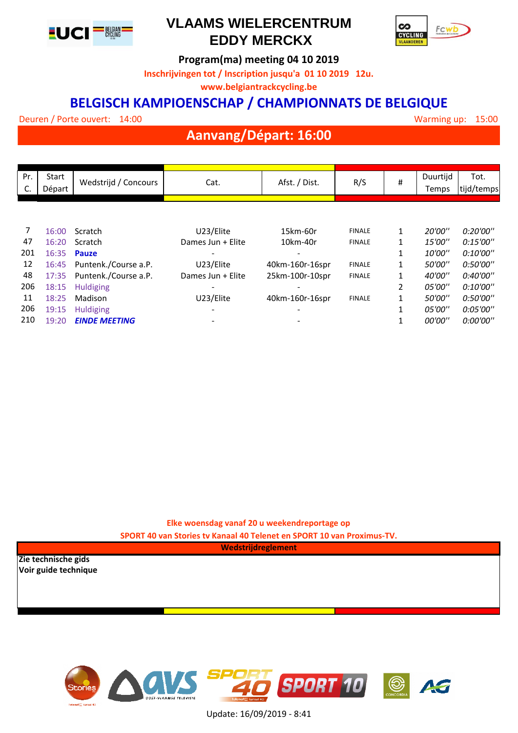

## **VLAAMS WIELERCENTRUM EDDY MERCKX**



**Program(ma) meeting 04 10 2019**

**Inschrijvingen tot / Inscription jusqu'a 01 10 2019 12u.**

**www.belgiantrackcycling.be**

### **BELGISCH KAMPIOENSCHAP / CHAMPIONNATS DE BELGIQUE**

Deuren / Porte ouvert: 14:00

15

## **Aanvang/Départ: 16:00**

| Pr. | Start  |                      |                   |                 |               |              | Duurtijd | Tot.       |
|-----|--------|----------------------|-------------------|-----------------|---------------|--------------|----------|------------|
| C.  | Départ | Wedstrijd / Concours | Cat.              | Afst. / Dist.   | R/S           | #            | Temps    | tijd/temps |
|     |        |                      |                   |                 |               |              |          |            |
|     |        |                      |                   |                 |               |              |          |            |
|     |        |                      |                   |                 |               |              |          |            |
| 7   | 16:00  | Scratch              | U23/Elite         | 15km-60r        | <b>FINALE</b> | 1            | 20'00"   | 0:20'00"   |
| 47  | 16:20  | Scratch              | Dames Jun + Elite | 10km-40r        | <b>FINALE</b> |              | 15'00''  | 0:15'00''  |
| 201 | 16:35  | <b>Pauze</b>         |                   |                 |               |              | 10'00''  | 0:10'00''  |
| 12  | 16:45  | Puntenk./Course a.P. | U23/Elite         | 40km-160r-16spr | <b>FINALE</b> | 1            | 50'00"   | 0:50'00"   |
| 48  | 17:35  | Puntenk./Course a.P. | Dames Jun + Elite | 25km-100r-10spr | <b>FINALE</b> | 1            | 40'00"   | 0:40'00"   |
| 206 | 18:15  | <b>Huldiging</b>     |                   |                 |               | 2            | 05'00"   | 0:10'00"   |
| 11  | 18:25  | Madison              | U23/Elite         | 40km-160r-16spr | <b>FINALE</b> | $\mathbf{1}$ | 50'00"   | 0:50'00"   |
| 206 | 19:15  | <b>Huldiging</b>     |                   |                 |               | 1            | 05'00"   | 0:05'00"   |
| 210 | 19:20  | <b>EINDE MEETING</b> |                   |                 |               | 1            | 00'00"   | 0:00'00"   |

**Elke woensdag vanaf 20 u weekendreportage op** 

**SPORT 40 van Stories tv Kanaal 40 Telenet en SPORT 10 van Proximus-TV.**

**Wedstrijdreglement**

**Zie technische gids Voir guide technique**